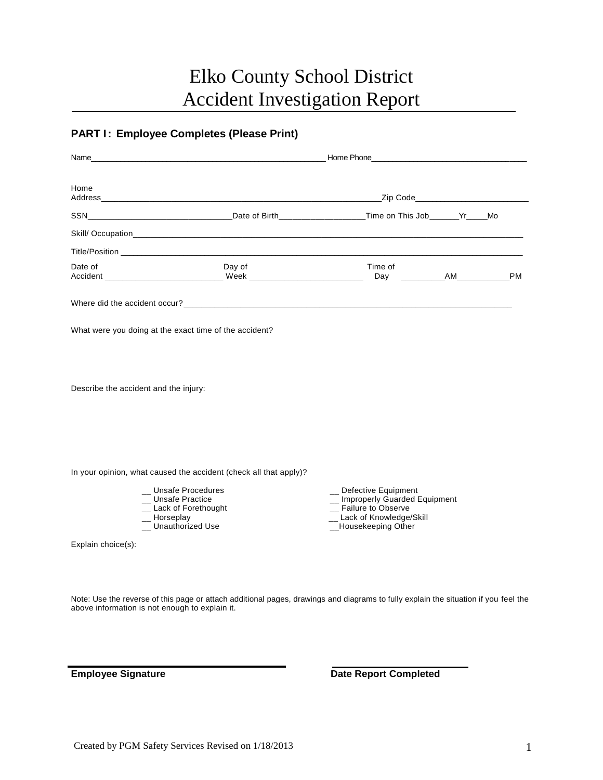## Elko County School District Accident Investigation Report

## **PART I : Employee Completes (Please Print)**

| Home                                  |                                                                                                    | Zip Code <b>All Discussions Code</b>                                                                                                 |  |           |  |
|---------------------------------------|----------------------------------------------------------------------------------------------------|--------------------------------------------------------------------------------------------------------------------------------------|--|-----------|--|
|                                       | SSN_________________________________Date of Birth__________________Time on This Job_______Yr____Mo |                                                                                                                                      |  |           |  |
|                                       |                                                                                                    |                                                                                                                                      |  |           |  |
|                                       | Title/Position <b>Example 2018</b>                                                                 |                                                                                                                                      |  |           |  |
| Date of                               | Day of                                                                                             | Time of                                                                                                                              |  | <b>PM</b> |  |
|                                       |                                                                                                    |                                                                                                                                      |  |           |  |
|                                       | What were you doing at the exact time of the accident?                                             |                                                                                                                                      |  |           |  |
|                                       |                                                                                                    |                                                                                                                                      |  |           |  |
| Describe the accident and the injury: |                                                                                                    |                                                                                                                                      |  |           |  |
|                                       |                                                                                                    |                                                                                                                                      |  |           |  |
|                                       | In your opinion, what caused the accident (check all that apply)?                                  |                                                                                                                                      |  |           |  |
| _ Horseplay                           | <b>Unsafe Procedures</b><br>_ Unsafe Practice<br>_ Lack of Forethought<br>Unauthorized Use         | _ Defective Equipment<br>_ Improperly Guarded Equipment<br>_ Failure to Observe<br>__ Lack of Knowledge/Skill<br>_Housekeeping Other |  |           |  |
| Explain choice(s):                    |                                                                                                    |                                                                                                                                      |  |           |  |
|                                       |                                                                                                    |                                                                                                                                      |  |           |  |

Note: Use the reverse of this page or attach additional pages, drawings and diagrams to fully explain the situation if you feel the above information is not enough to explain it.

**Employee Signature Date Report Completed**